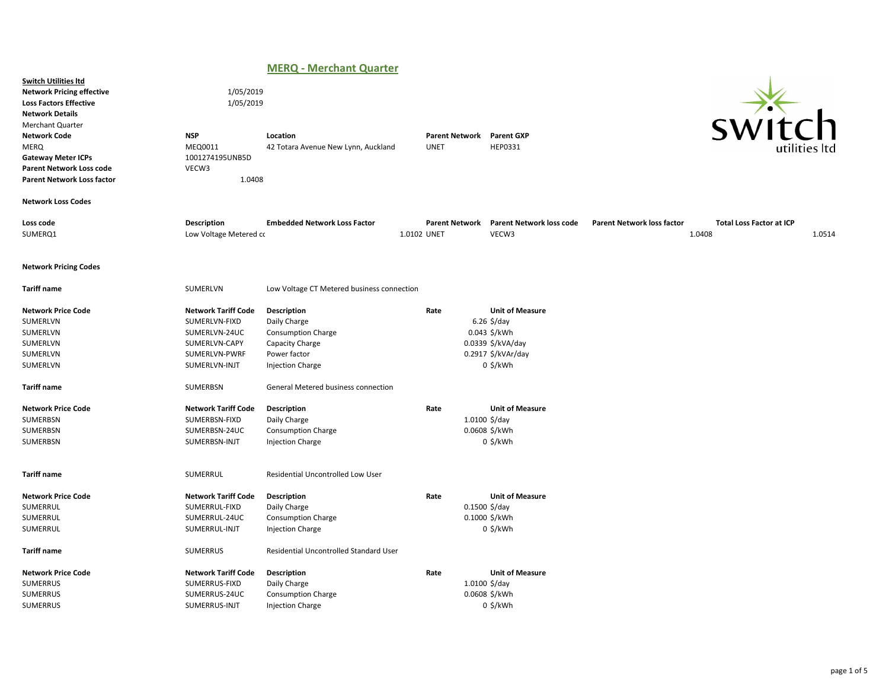# MERQ - Merchant Quarter

|                                                                                                                                                                                                                                                                                           |                                                                                                                 | .                                                                                                                      |                                      |                                                                                                                                     |                                             |                                           |
|-------------------------------------------------------------------------------------------------------------------------------------------------------------------------------------------------------------------------------------------------------------------------------------------|-----------------------------------------------------------------------------------------------------------------|------------------------------------------------------------------------------------------------------------------------|--------------------------------------|-------------------------------------------------------------------------------------------------------------------------------------|---------------------------------------------|-------------------------------------------|
| <b>Switch Utilities Itd</b><br><b>Network Pricing effective</b><br><b>Loss Factors Effective</b><br><b>Network Details</b><br><b>Merchant Quarter</b><br><b>Network Code</b><br><b>MERQ</b><br><b>Gateway Meter ICPs</b><br>Parent Network Loss code<br><b>Parent Network Loss factor</b> | 1/05/2019<br>1/05/2019<br><b>NSP</b><br>MEQ0011<br>1001274195UNB5D<br>VECW3<br>1.0408                           | Location<br>42 Totara Avenue New Lynn, Auckland                                                                        | <b>Parent Network</b><br><b>UNET</b> | <b>Parent GXP</b><br>HEP0331                                                                                                        |                                             |                                           |
| <b>Network Loss Codes</b>                                                                                                                                                                                                                                                                 |                                                                                                                 |                                                                                                                        |                                      |                                                                                                                                     |                                             |                                           |
| Loss code<br>SUMERQ1                                                                                                                                                                                                                                                                      | <b>Description</b><br>Low Voltage Metered co                                                                    | <b>Embedded Network Loss Factor</b>                                                                                    | <b>Parent Network</b><br>1.0102 UNET | <b>Parent Network loss code</b><br>VECW3                                                                                            | <b>Parent Network loss factor</b><br>1.0408 | <b>Total Loss Factor at ICP</b><br>1.0514 |
| <b>Network Pricing Codes</b>                                                                                                                                                                                                                                                              |                                                                                                                 |                                                                                                                        |                                      |                                                                                                                                     |                                             |                                           |
| <b>Tariff name</b>                                                                                                                                                                                                                                                                        | SUMERLVN                                                                                                        | Low Voltage CT Metered business connection                                                                             |                                      |                                                                                                                                     |                                             |                                           |
| <b>Network Price Code</b><br>SUMERLVN<br>SUMERLVN<br>SUMERLVN<br>SUMERLVN<br>SUMERLVN                                                                                                                                                                                                     | <b>Network Tariff Code</b><br>SUMERLVN-FIXD<br>SUMERLVN-24UC<br>SUMERLVN-CAPY<br>SUMERLVN-PWRF<br>SUMERLVN-INJT | Description<br>Daily Charge<br><b>Consumption Charge</b><br>Capacity Charge<br>Power factor<br><b>Injection Charge</b> | Rate                                 | <b>Unit of Measure</b><br>$6.26 \frac{\text{S}}{\text{G}}$<br>0.043 \$/kWh<br>0.0339 \$/kVA/day<br>0.2917 \$/kVAr/day<br>$0$ \$/kWh |                                             |                                           |
| <b>Tariff name</b>                                                                                                                                                                                                                                                                        | SUMERBSN                                                                                                        | General Metered business connection                                                                                    |                                      |                                                                                                                                     |                                             |                                           |
| <b>Network Price Code</b><br>SUMERBSN<br>SUMERBSN<br>SUMERBSN                                                                                                                                                                                                                             | <b>Network Tariff Code</b><br>SUMERBSN-FIXD<br>SUMERBSN-24UC<br>SUMERBSN-INJT                                   | Description<br>Daily Charge<br><b>Consumption Charge</b><br><b>Injection Charge</b>                                    | Rate                                 | <b>Unit of Measure</b><br>$1.0100 \frac{5}{day}$<br>0.0608 \$/kWh<br>0 \$/kWh                                                       |                                             |                                           |
| <b>Tariff name</b>                                                                                                                                                                                                                                                                        | SUMERRUL                                                                                                        | Residential Uncontrolled Low User                                                                                      |                                      |                                                                                                                                     |                                             |                                           |
| <b>Network Price Code</b><br>SUMERRUL<br>SUMERRUL<br>SUMERRUL                                                                                                                                                                                                                             | <b>Network Tariff Code</b><br>SUMERRUL-FIXD<br>SUMERRUL-24UC<br>SUMERRUL-INJT                                   | Description<br>Daily Charge<br><b>Consumption Charge</b><br><b>Injection Charge</b>                                    | Rate                                 | <b>Unit of Measure</b><br>$0.1500$ \$/day<br>0.1000 \$/kWh<br>$0$ \$/kWh                                                            |                                             |                                           |
| <b>Tariff name</b>                                                                                                                                                                                                                                                                        | SUMERRUS                                                                                                        | Residential Uncontrolled Standard User                                                                                 |                                      |                                                                                                                                     |                                             |                                           |
| <b>Network Price Code</b><br><b>SUMERRUS</b><br>SUMERRUS<br><b>SUMERRUS</b>                                                                                                                                                                                                               | <b>Network Tariff Code</b><br>SUMERRUS-FIXD<br>SUMERRUS-24UC<br>SUMERRUS-INJT                                   | Description<br>Daily Charge<br><b>Consumption Charge</b><br><b>Injection Charge</b>                                    | Rate                                 | <b>Unit of Measure</b><br>$1.0100 \frac{5}{day}$<br>0.0608 \$/kWh<br>$0$ \$/kWh                                                     |                                             |                                           |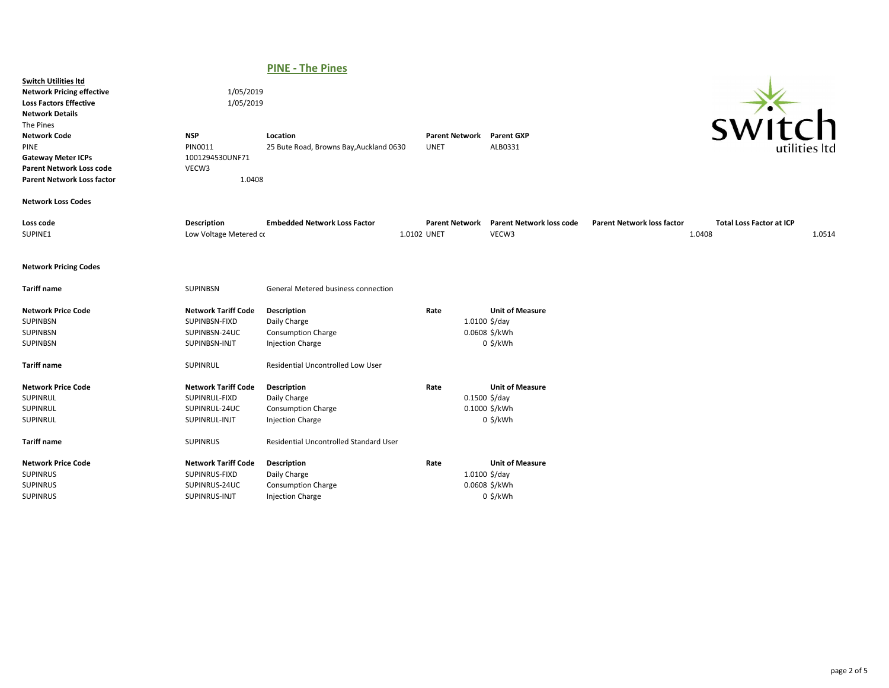# PINE - The Pines

| <b>Switch Utilities Itd</b><br><b>Network Pricing effective</b><br><b>Loss Factors Effective</b><br><b>Network Details</b><br>The Pines<br><b>Network Code</b><br>PINE<br><b>Gateway Meter ICPs</b><br><b>Parent Network Loss code</b><br><b>Parent Network Loss factor</b> | 1/05/2019<br>1/05/2019<br><b>NSP</b><br>PIN0011<br>1001294530UNF71<br>VECW3<br>1.0408 | Location<br>25 Bute Road, Browns Bay, Auckland 0630                                 | <b>Parent Network</b><br><b>UNET</b> | <b>Parent GXP</b><br>ALB0331                                             |                                   | <b>SWI1</b>                               | $\Box$ h<br>utilities ltd |
|-----------------------------------------------------------------------------------------------------------------------------------------------------------------------------------------------------------------------------------------------------------------------------|---------------------------------------------------------------------------------------|-------------------------------------------------------------------------------------|--------------------------------------|--------------------------------------------------------------------------|-----------------------------------|-------------------------------------------|---------------------------|
| <b>Network Loss Codes</b>                                                                                                                                                                                                                                                   |                                                                                       |                                                                                     |                                      |                                                                          |                                   |                                           |                           |
| Loss code<br>SUPINE1                                                                                                                                                                                                                                                        | Description<br>Low Voltage Metered co                                                 | <b>Embedded Network Loss Factor</b>                                                 | <b>Parent Network</b><br>1.0102 UNET | <b>Parent Network loss code</b><br>VECW3                                 | <b>Parent Network loss factor</b> | <b>Total Loss Factor at ICP</b><br>1.0408 | 1.0514                    |
| <b>Network Pricing Codes</b>                                                                                                                                                                                                                                                |                                                                                       |                                                                                     |                                      |                                                                          |                                   |                                           |                           |
| <b>Tariff name</b>                                                                                                                                                                                                                                                          | <b>SUPINBSN</b>                                                                       | <b>General Metered business connection</b>                                          |                                      |                                                                          |                                   |                                           |                           |
| <b>Network Price Code</b><br><b>SUPINBSN</b><br><b>SUPINBSN</b><br><b>SUPINBSN</b>                                                                                                                                                                                          | <b>Network Tariff Code</b><br>SUPINBSN-FIXD<br>SUPINBSN-24UC<br>SUPINBSN-INJT         | Description<br>Daily Charge<br><b>Consumption Charge</b><br><b>Injection Charge</b> | Rate                                 | <b>Unit of Measure</b><br>1.0100 \$/day<br>0.0608 \$/kWh<br>$0$ \$/kWh   |                                   |                                           |                           |
| <b>Tariff name</b>                                                                                                                                                                                                                                                          | SUPINRUL                                                                              | <b>Residential Uncontrolled Low User</b>                                            |                                      |                                                                          |                                   |                                           |                           |
| <b>Network Price Code</b><br>SUPINRUL<br>SUPINRUL<br>SUPINRUL                                                                                                                                                                                                               | <b>Network Tariff Code</b><br>SUPINRUL-FIXD<br>SUPINRUL-24UC<br>SUPINRUL-INJT         | Description<br>Daily Charge<br><b>Consumption Charge</b><br><b>Injection Charge</b> | Rate                                 | <b>Unit of Measure</b><br>$0.1500$ \$/day<br>0.1000 \$/kWh<br>$0$ \$/kWh |                                   |                                           |                           |
| <b>Tariff name</b>                                                                                                                                                                                                                                                          | <b>SUPINRUS</b>                                                                       | Residential Uncontrolled Standard User                                              |                                      |                                                                          |                                   |                                           |                           |
| <b>Network Price Code</b><br><b>SUPINRUS</b><br><b>SUPINRUS</b><br><b>SUPINRUS</b>                                                                                                                                                                                          | <b>Network Tariff Code</b><br>SUPINRUS-FIXD<br>SUPINRUS-24UC<br>SUPINRUS-INJT         | Description<br>Daily Charge<br><b>Consumption Charge</b><br><b>Injection Charge</b> | Rate                                 | <b>Unit of Measure</b><br>$1.0100$ \$/day<br>0.0608 \$/kWh<br>$0$ \$/kWh |                                   |                                           |                           |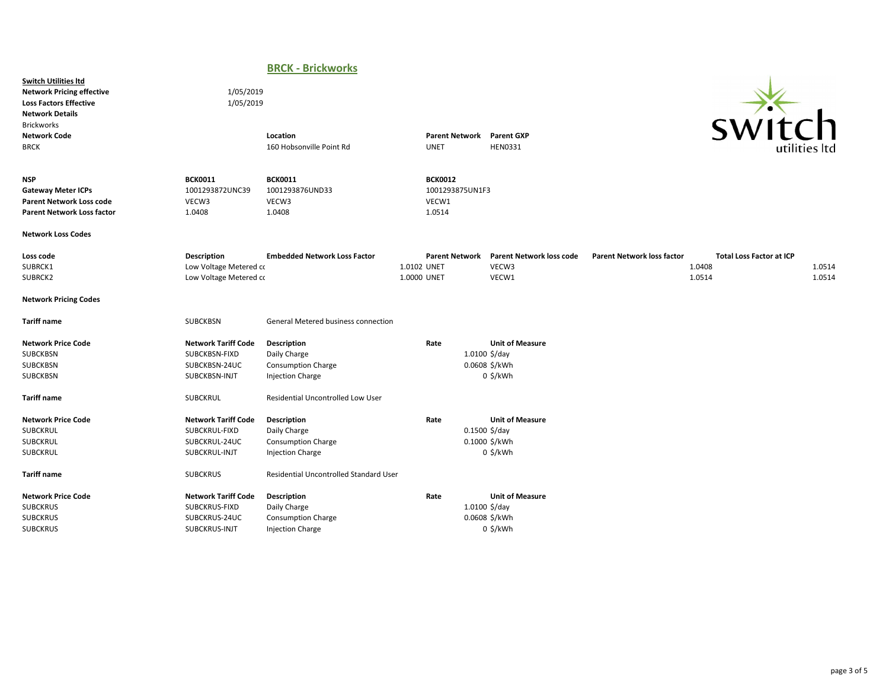## BRCK - Brickworks

Switch Utilities ltd Network Pricing effective 1/05/2019 Loss Factors Effective 1/05/2019 Network Details Brickworks



| <b>Network Code</b><br><b>BRCK</b>                                                                              |                                                                               | Location<br>160 Hobsonville Point Rd                                                       |                            | Parent Network Parent GXP<br><b>UNET</b>             | <b>HEN0331</b>                                                           |                                   | <b>SVVILLII</b>                                     | utilities ltd    |
|-----------------------------------------------------------------------------------------------------------------|-------------------------------------------------------------------------------|--------------------------------------------------------------------------------------------|----------------------------|------------------------------------------------------|--------------------------------------------------------------------------|-----------------------------------|-----------------------------------------------------|------------------|
| <b>NSP</b><br><b>Gateway Meter ICPs</b><br><b>Parent Network Loss code</b><br><b>Parent Network Loss factor</b> | <b>BCK0011</b><br>1001293872UNC39<br>VECW3<br>1.0408                          | <b>BCK0011</b><br>1001293876UND33<br>VECW3<br>1.0408                                       |                            | <b>BCK0012</b><br>1001293875UN1F3<br>VECW1<br>1.0514 |                                                                          |                                   |                                                     |                  |
| <b>Network Loss Codes</b>                                                                                       |                                                                               |                                                                                            |                            |                                                      |                                                                          |                                   |                                                     |                  |
| Loss code<br>SUBRCK1<br>SUBRCK2                                                                                 | <b>Description</b><br>Low Voltage Metered co<br>Low Voltage Metered co        | <b>Embedded Network Loss Factor</b>                                                        | 1.0102 UNET<br>1.0000 UNET | <b>Parent Network</b>                                | <b>Parent Network loss code</b><br>VECW3<br>VECW1                        | <b>Parent Network loss factor</b> | <b>Total Loss Factor at ICP</b><br>1.0408<br>1.0514 | 1.0514<br>1.0514 |
| <b>Network Pricing Codes</b>                                                                                    |                                                                               |                                                                                            |                            |                                                      |                                                                          |                                   |                                                     |                  |
| <b>Tariff name</b>                                                                                              | <b>SUBCKBSN</b>                                                               | <b>General Metered business connection</b>                                                 |                            |                                                      |                                                                          |                                   |                                                     |                  |
| <b>Network Price Code</b><br><b>SUBCKBSN</b><br><b>SUBCKBSN</b><br>SUBCKBSN                                     | <b>Network Tariff Code</b><br>SUBCKBSN-FIXD<br>SUBCKBSN-24UC<br>SUBCKBSN-INJT | <b>Description</b><br>Daily Charge<br><b>Consumption Charge</b><br><b>Injection Charge</b> |                            | Rate                                                 | <b>Unit of Measure</b><br>$1.0100$ \$/day<br>0.0608 \$/kWh<br>$0$ \$/kWh |                                   |                                                     |                  |
| <b>Tariff name</b>                                                                                              | <b>SUBCKRUL</b>                                                               | Residential Uncontrolled Low User                                                          |                            |                                                      |                                                                          |                                   |                                                     |                  |
| <b>Network Price Code</b><br><b>SUBCKRUL</b><br>SUBCKRUL<br>SUBCKRUL                                            | <b>Network Tariff Code</b><br>SUBCKRUL-FIXD<br>SUBCKRUL-24UC<br>SUBCKRUL-INJT | Description<br>Daily Charge<br><b>Consumption Charge</b><br>Injection Charge               |                            | Rate                                                 | <b>Unit of Measure</b><br>$0.1500$ \$/day<br>0.1000 \$/kWh<br>$0$ \$/kWh |                                   |                                                     |                  |
| <b>Tariff name</b>                                                                                              | <b>SUBCKRUS</b>                                                               | Residential Uncontrolled Standard User                                                     |                            |                                                      |                                                                          |                                   |                                                     |                  |
| <b>Network Price Code</b><br><b>SUBCKRUS</b><br><b>SUBCKRUS</b><br><b>SUBCKRUS</b>                              | <b>Network Tariff Code</b><br>SUBCKRUS-FIXD<br>SUBCKRUS-24UC<br>SUBCKRUS-INJT | Description<br>Daily Charge<br><b>Consumption Charge</b><br><b>Injection Charge</b>        |                            | Rate                                                 | <b>Unit of Measure</b><br>$1.0100$ \$/day<br>0.0608 \$/kWh<br>$0$ \$/kWh |                                   |                                                     |                  |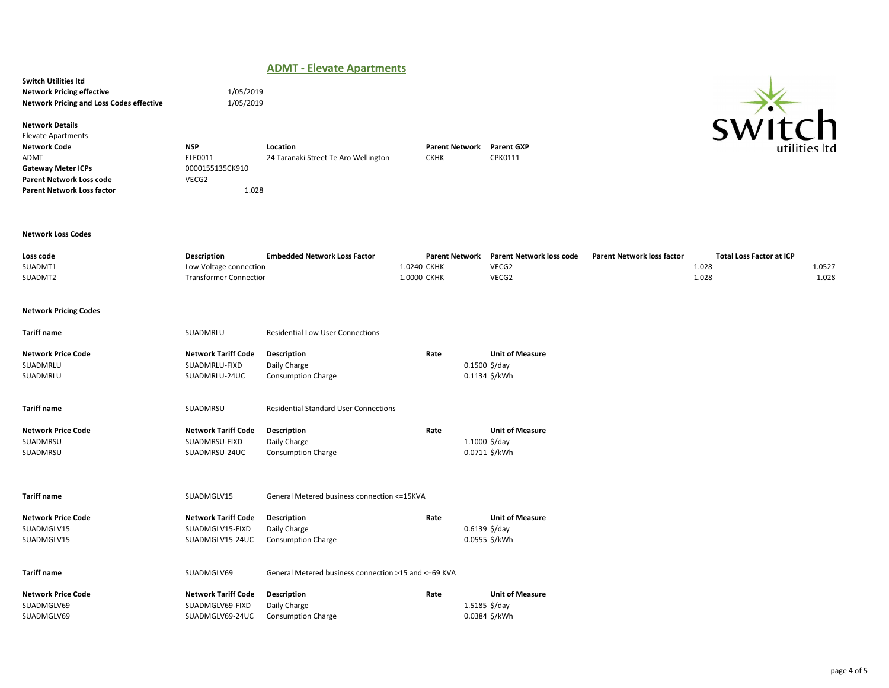## ADMT - Elevate Apartments

**Switch Utilities Itd** Network Pricing effective 1/05/2019 Network Pricing and Loss Codes effective 1/05/2019

Network Details

Elevate Apartments Network Code **NSP** Location Location Location Parent Network Parent GXP<br>ADMT ADMT ELEO011 24 Taranaki Street Te Aro Wellington CKHK CPK0111 Gateway Meter ICPs 0000155135CK910 Parent Network Loss code VECG2 Parent Network Loss factor 1.028

24 Taranaki Street Te Aro Wellington

### Network Loss Codes

| Loss code                    | Description                   | <b>Embedded Network Loss Factor</b>                   | <b>Parent Network</b> | <b>Parent Network loss code</b> | <b>Parent Network loss factor</b> | <b>Total Loss Factor at ICP</b> |        |
|------------------------------|-------------------------------|-------------------------------------------------------|-----------------------|---------------------------------|-----------------------------------|---------------------------------|--------|
| SUADMT1                      | Low Voltage connection        |                                                       | 1.0240 CKHK           | VECG2                           |                                   | 1.028                           | 1.0527 |
| SUADMT2                      | <b>Transformer Connection</b> |                                                       | 1.0000 CKHK           | VECG2                           |                                   | 1.028                           | 1.028  |
| <b>Network Pricing Codes</b> |                               |                                                       |                       |                                 |                                   |                                 |        |
| <b>Tariff name</b>           | SUADMRLU                      | <b>Residential Low User Connections</b>               |                       |                                 |                                   |                                 |        |
| <b>Network Price Code</b>    | <b>Network Tariff Code</b>    | Description                                           | Rate                  | <b>Unit of Measure</b>          |                                   |                                 |        |
| SUADMRLU                     | SUADMRLU-FIXD                 | Daily Charge                                          |                       | $0.1500$ \$/day                 |                                   |                                 |        |
| SUADMRLU                     | SUADMRLU-24UC                 | <b>Consumption Charge</b>                             |                       | 0.1134 \$/kWh                   |                                   |                                 |        |
| <b>Tariff name</b>           | SUADMRSU                      | <b>Residential Standard User Connections</b>          |                       |                                 |                                   |                                 |        |
| <b>Network Price Code</b>    | <b>Network Tariff Code</b>    | Description                                           | Rate                  | <b>Unit of Measure</b>          |                                   |                                 |        |
| SUADMRSU                     | SUADMRSU-FIXD                 | Daily Charge                                          |                       | $1.1000$ \$/day                 |                                   |                                 |        |
| SUADMRSU                     | SUADMRSU-24UC                 | <b>Consumption Charge</b>                             |                       | 0.0711 \$/kWh                   |                                   |                                 |        |
| <b>Tariff name</b>           | SUADMGLV15                    | General Metered business connection <= 15KVA          |                       |                                 |                                   |                                 |        |
| <b>Network Price Code</b>    | <b>Network Tariff Code</b>    | Description                                           | Rate                  | <b>Unit of Measure</b>          |                                   |                                 |        |
| SUADMGLV15                   | SUADMGLV15-FIXD               | Daily Charge                                          |                       | $0.6139$ \$/day                 |                                   |                                 |        |
| SUADMGLV15                   | SUADMGLV15-24UC               | <b>Consumption Charge</b>                             |                       | 0.0555 \$/kWh                   |                                   |                                 |        |
| <b>Tariff name</b>           | SUADMGLV69                    | General Metered business connection >15 and <= 69 KVA |                       |                                 |                                   |                                 |        |
| <b>Network Price Code</b>    | <b>Network Tariff Code</b>    | Description                                           | Rate                  | <b>Unit of Measure</b>          |                                   |                                 |        |
| SUADMGLV69                   | SUADMGLV69-FIXD               | Daily Charge                                          |                       | $1.5185$ \$/day                 |                                   |                                 |        |
| SUADMGLV69                   | SUADMGLV69-24UC               | <b>Consumption Charge</b>                             |                       | 0.0384 \$/kWh                   |                                   |                                 |        |
|                              |                               |                                                       |                       |                                 |                                   |                                 |        |